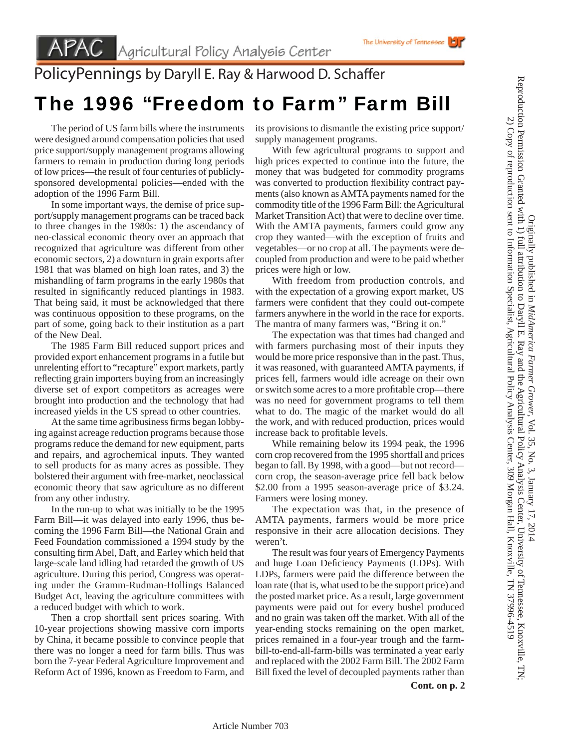## PolicyPennings by Daryll E. Ray & Harwood D. Schaffer

## The 1996 "Freedom to Farm" Farm Bill

 The period of US farm bills where the instruments were designed around compensation policies that used price support/supply management programs allowing farmers to remain in production during long periods of low prices—the result of four centuries of publiclysponsored developmental policies—ended with the adoption of the 1996 Farm Bill.

 In some important ways, the demise of price support/supply management programs can be traced back to three changes in the 1980s: 1) the ascendancy of neo-classical economic theory over an approach that recognized that agriculture was different from other economic sectors, 2) a downturn in grain exports after 1981 that was blamed on high loan rates, and 3) the mishandling of farm programs in the early 1980s that resulted in significantly reduced plantings in 1983. That being said, it must be acknowledged that there was continuous opposition to these programs, on the part of some, going back to their institution as a part of the New Deal.

 The 1985 Farm Bill reduced support prices and provided export enhancement programs in a futile but unrelenting effort to "recapture" export markets, partly reflecting grain importers buying from an increasingly diverse set of export competitors as acreages were brought into production and the technology that had increased yields in the US spread to other countries.

At the same time agribusiness firms began lobbying against acreage reduction programs because those programs reduce the demand for new equipment, parts and repairs, and agrochemical inputs. They wanted to sell products for as many acres as possible. They bolstered their argument with free-market, neoclassical economic theory that saw agriculture as no different from any other industry.

 In the run-up to what was initially to be the 1995 Farm Bill—it was delayed into early 1996, thus becoming the 1996 Farm Bill—the National Grain and Feed Foundation commissioned a 1994 study by the consulting firm Abel, Daft, and Earley which held that large-scale land idling had retarded the growth of US agriculture. During this period, Congress was operating under the Gramm-Rudman-Hollings Balanced Budget Act, leaving the agriculture committees with a reduced budget with which to work.

 Then a crop shortfall sent prices soaring. With 10-year projections showing massive corn imports by China, it became possible to convince people that there was no longer a need for farm bills. Thus was born the 7-year Federal Agriculture Improvement and Reform Act of 1996, known as Freedom to Farm, and its provisions to dismantle the existing price support/ supply management programs.

 With few agricultural programs to support and high prices expected to continue into the future, the money that was budgeted for commodity programs was converted to production flexibility contract payments (also known as AMTA payments named for the commodity title of the 1996 Farm Bill: the Agricultural Market Transition Act) that were to decline over time. With the AMTA payments, farmers could grow any crop they wanted—with the exception of fruits and vegetables—or no crop at all. The payments were decoupled from production and were to be paid whether prices were high or low.

 With freedom from production controls, and with the expectation of a growing export market, US farmers were confident that they could out-compete farmers anywhere in the world in the race for exports. The mantra of many farmers was, "Bring it on."

 The expectation was that times had changed and with farmers purchasing most of their inputs they would be more price responsive than in the past. Thus, it was reasoned, with guaranteed AMTA payments, if prices fell, farmers would idle acreage on their own or switch some acres to a more profitable crop—there was no need for government programs to tell them what to do. The magic of the market would do all the work, and with reduced production, prices would increase back to profitable levels.

 While remaining below its 1994 peak, the 1996 corn crop recovered from the 1995 shortfall and prices began to fall. By 1998, with a good—but not record corn crop, the season-average price fell back below \$2.00 from a 1995 season-average price of \$3.24. Farmers were losing money.

 The expectation was that, in the presence of AMTA payments, farmers would be more price responsive in their acre allocation decisions. They weren't.

 The result was four years of Emergency Payments and huge Loan Deficiency Payments (LDPs). With LDPs, farmers were paid the difference between the loan rate (that is, what used to be the support price) and the posted market price. As a result, large government payments were paid out for every bushel produced and no grain was taken off the market. With all of the year-ending stocks remaining on the open market, prices remained in a four-year trough and the farmbill-to-end-all-farm-bills was terminated a year early and replaced with the 2002 Farm Bill. The 2002 Farm Bill fixed the level of decoupled payments rather than Originally published in *MidAmerica Farmer Grower*

Reproduction Permission Granted with 1) full attribution to Daryll E. Ray and the Agricultural Policy Analysis Center, University of Tennessee, Knoxville, TN; 2) Copy of reproduction sent to Information Specialist, Agricultural Policy Analysis Center, 309 Morgan Hall, Knoxville, TN 37996-4519

Reproduction Permission Granted with 1) full attribution to Daryll E. Ray and the Agricultural Policy Analysis Center, University of Tennessee, Knoxville, TN 2) Copy of reproduction sent to Information Specialist, Agricultural Policy Analysis Center, 309 Morgan Hall, Knoxville, TN 37996-4519

Originally published in MidAmerica Farmer Grower, Vol. 35, No. 3, January 17, 2014

, Vol. 35, No. 3, January 17, 2014